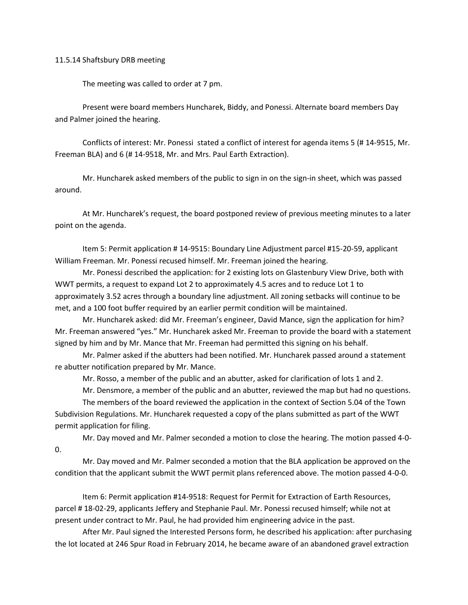11.5.14 Shaftsbury DRB meeting

The meeting was called to order at 7 pm.

Present were board members Huncharek, Biddy, and Ponessi. Alternate board members Day and Palmer joined the hearing.

Conflicts of interest: Mr. Ponessi stated a conflict of interest for agenda items 5 (# 14-9515, Mr. Freeman BLA) and 6 (# 14-9518, Mr. and Mrs. Paul Earth Extraction).

Mr. Huncharek asked members of the public to sign in on the sign-in sheet, which was passed around.

At Mr. Huncharek's request, the board postponed review of previous meeting minutes to a later point on the agenda.

Item 5: Permit application # 14-9515: Boundary Line Adjustment parcel #15-20-59, applicant William Freeman. Mr. Ponessi recused himself. Mr. Freeman joined the hearing.

Mr. Ponessi described the application: for 2 existing lots on Glastenbury View Drive, both with WWT permits, a request to expand Lot 2 to approximately 4.5 acres and to reduce Lot 1 to approximately 3.52 acres through a boundary line adjustment. All zoning setbacks will continue to be met, and a 100 foot buffer required by an earlier permit condition will be maintained.

Mr. Huncharek asked: did Mr. Freeman's engineer, David Mance, sign the application for him? Mr. Freeman answered "yes." Mr. Huncharek asked Mr. Freeman to provide the board with a statement signed by him and by Mr. Mance that Mr. Freeman had permitted this signing on his behalf.

Mr. Palmer asked if the abutters had been notified. Mr. Huncharek passed around a statement re abutter notification prepared by Mr. Mance.

Mr. Rosso, a member of the public and an abutter, asked for clarification of lots 1 and 2.

Mr. Densmore, a member of the public and an abutter, reviewed the map but had no questions.

The members of the board reviewed the application in the context of Section 5.04 of the Town Subdivision Regulations. Mr. Huncharek requested a copy of the plans submitted as part of the WWT permit application for filing.

Mr. Day moved and Mr. Palmer seconded a motion to close the hearing. The motion passed 4-0-  $0<sub>l</sub>$ 

Mr. Day moved and Mr. Palmer seconded a motion that the BLA application be approved on the condition that the applicant submit the WWT permit plans referenced above. The motion passed 4-0-0.

Item 6: Permit application #14-9518: Request for Permit for Extraction of Earth Resources, parcel # 18-02-29, applicants Jeffery and Stephanie Paul. Mr. Ponessi recused himself; while not at present under contract to Mr. Paul, he had provided him engineering advice in the past.

After Mr. Paul signed the Interested Persons form, he described his application: after purchasing the lot located at 246 Spur Road in February 2014, he became aware of an abandoned gravel extraction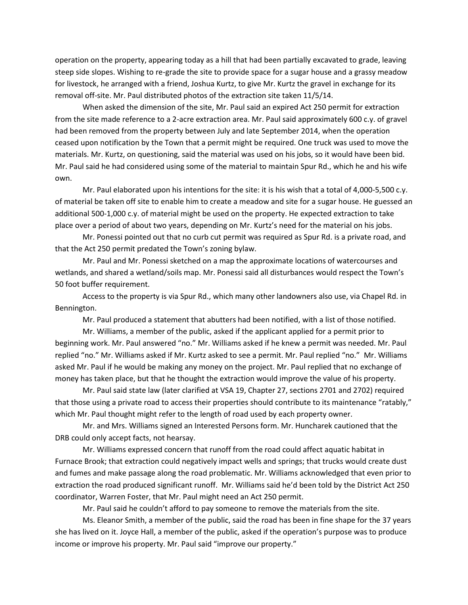operation on the property, appearing today as a hill that had been partially excavated to grade, leaving steep side slopes. Wishing to re-grade the site to provide space for a sugar house and a grassy meadow for livestock, he arranged with a friend, Joshua Kurtz, to give Mr. Kurtz the gravel in exchange for its removal off-site. Mr. Paul distributed photos of the extraction site taken 11/5/14.

When asked the dimension of the site, Mr. Paul said an expired Act 250 permit for extraction from the site made reference to a 2-acre extraction area. Mr. Paul said approximately 600 c.y. of gravel had been removed from the property between July and late September 2014, when the operation ceased upon notification by the Town that a permit might be required. One truck was used to move the materials. Mr. Kurtz, on questioning, said the material was used on his jobs, so it would have been bid. Mr. Paul said he had considered using some of the material to maintain Spur Rd., which he and his wife own.

Mr. Paul elaborated upon his intentions for the site: it is his wish that a total of 4,000-5,500 c.y. of material be taken off site to enable him to create a meadow and site for a sugar house. He guessed an additional 500-1,000 c.y. of material might be used on the property. He expected extraction to take place over a period of about two years, depending on Mr. Kurtz's need for the material on his jobs.

Mr. Ponessi pointed out that no curb cut permit was required as Spur Rd. is a private road, and that the Act 250 permit predated the Town's zoning bylaw.

Mr. Paul and Mr. Ponessi sketched on a map the approximate locations of watercourses and wetlands, and shared a wetland/soils map. Mr. Ponessi said all disturbances would respect the Town's 50 foot buffer requirement.

Access to the property is via Spur Rd., which many other landowners also use, via Chapel Rd. in Bennington.

Mr. Paul produced a statement that abutters had been notified, with a list of those notified.

Mr. Williams, a member of the public, asked if the applicant applied for a permit prior to beginning work. Mr. Paul answered "no." Mr. Williams asked if he knew a permit was needed. Mr. Paul replied "no." Mr. Williams asked if Mr. Kurtz asked to see a permit. Mr. Paul replied "no." Mr. Williams asked Mr. Paul if he would be making any money on the project. Mr. Paul replied that no exchange of money has taken place, but that he thought the extraction would improve the value of his property.

Mr. Paul said state law (later clarified at VSA 19, Chapter 27, sections 2701 and 2702) required that those using a private road to access their properties should contribute to its maintenance "ratably," which Mr. Paul thought might refer to the length of road used by each property owner.

Mr. and Mrs. Williams signed an Interested Persons form. Mr. Huncharek cautioned that the DRB could only accept facts, not hearsay.

Mr. Williams expressed concern that runoff from the road could affect aquatic habitat in Furnace Brook; that extraction could negatively impact wells and springs; that trucks would create dust and fumes and make passage along the road problematic. Mr. Williams acknowledged that even prior to extraction the road produced significant runoff. Mr. Williams said he'd been told by the District Act 250 coordinator, Warren Foster, that Mr. Paul might need an Act 250 permit.

Mr. Paul said he couldn't afford to pay someone to remove the materials from the site.

Ms. Eleanor Smith, a member of the public, said the road has been in fine shape for the 37 years she has lived on it. Joyce Hall, a member of the public, asked if the operation's purpose was to produce income or improve his property. Mr. Paul said "improve our property."